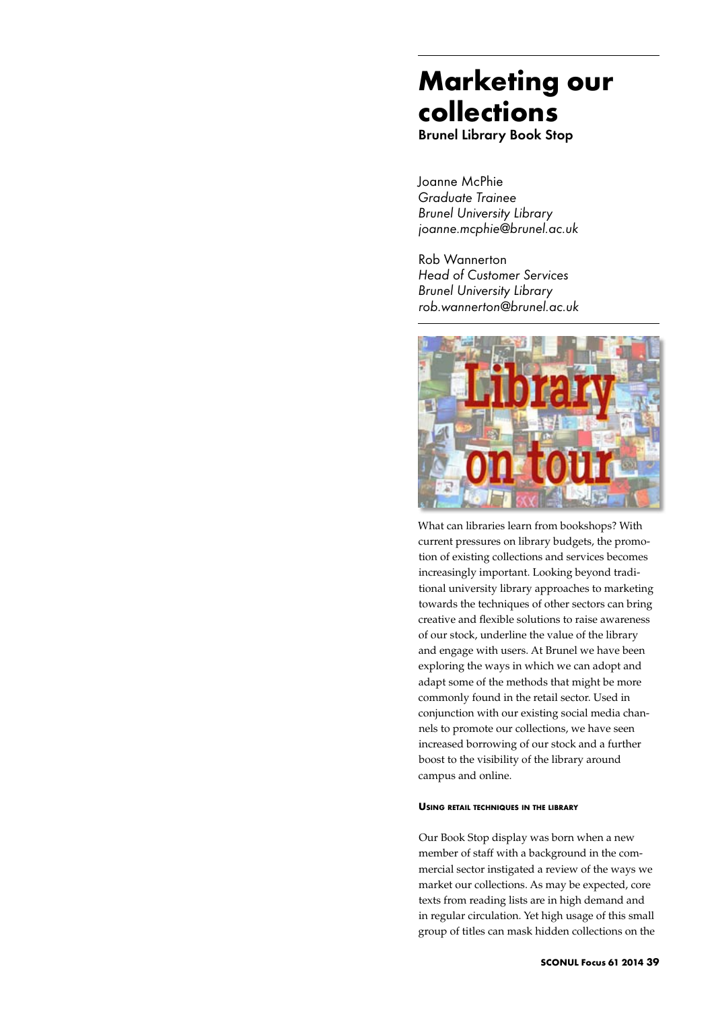# **Marketing our collections**

Brunel Library Book Stop

Joanne McPhie *Graduate Trainee Brunel University Library joanne.mcphie@brunel.ac.uk*

Rob Wannerton *Head of Customer Services Brunel University Library rob.wannerton@brunel.ac.uk*



What can libraries learn from bookshops? With current pressures on library budgets, the promotion of existing collections and services becomes increasingly important. Looking beyond traditional university library approaches to marketing towards the techniques of other sectors can bring creative and flexible solutions to raise awareness of our stock, underline the value of the library and engage with users. At Brunel we have been exploring the ways in which we can adopt and adapt some of the methods that might be more commonly found in the retail sector. Used in conjunction with our existing social media channels to promote our collections, we have seen increased borrowing of our stock and a further boost to the visibility of the library around campus and online.

#### **Using retail techniques in the library**

Our Book Stop display was born when a new member of staff with a background in the commercial sector instigated a review of the ways we market our collections. As may be expected, core texts from reading lists are in high demand and in regular circulation. Yet high usage of this small group of titles can mask hidden collections on the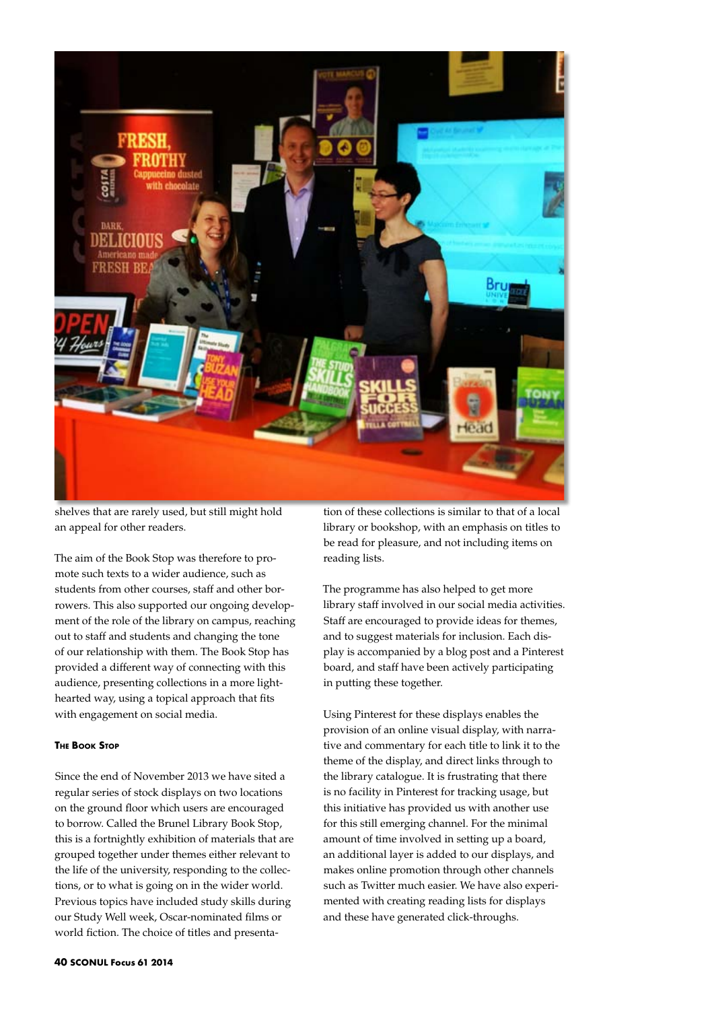

shelves that are rarely used, but still might hold an appeal for other readers.

The aim of the Book Stop was therefore to promote such texts to a wider audience, such as students from other courses, staff and other borrowers. This also supported our ongoing development of the role of the library on campus, reaching out to staff and students and changing the tone of our relationship with them. The Book Stop has provided a different way of connecting with this audience, presenting collections in a more lighthearted way, using a topical approach that fits with engagement on social media.

### **The Book Stop**

Since the end of November 2013 we have sited a regular series of stock displays on two locations on the ground floor which users are encouraged to borrow. Called the Brunel Library Book Stop, this is a fortnightly exhibition of materials that are grouped together under themes either relevant to the life of the university, responding to the collections, or to what is going on in the wider world. Previous topics have included study skills during our Study Well week, Oscar-nominated films or world fiction. The choice of titles and presenta-

tion of these collections is similar to that of a local library or bookshop, with an emphasis on titles to be read for pleasure, and not including items on reading lists.

The programme has also helped to get more library staff involved in our social media activities. Staff are encouraged to provide ideas for themes, and to suggest materials for inclusion. Each display is accompanied by a blog post and a Pinterest board, and staff have been actively participating in putting these together.

Using Pinterest for these displays enables the provision of an online visual display, with narrative and commentary for each title to link it to the theme of the display, and direct links through to the library catalogue. It is frustrating that there is no facility in Pinterest for tracking usage, but this initiative has provided us with another use for this still emerging channel. For the minimal amount of time involved in setting up a board, an additional layer is added to our displays, and makes online promotion through other channels such as Twitter much easier. We have also experimented with creating reading lists for displays and these have generated click-throughs.